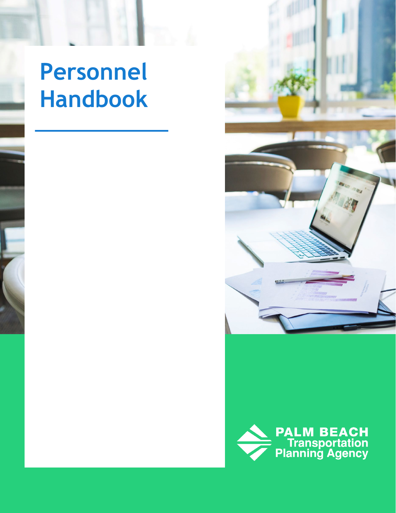# **Personnel Handbook**



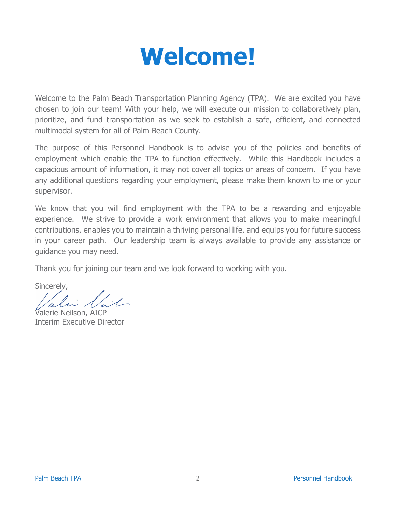

<span id="page-1-0"></span>Welcome to the Palm Beach Transportation Planning Agency (TPA). We are excited you have chosen to join our team! With your help, we will execute our mission to collaboratively plan, prioritize, and fund transportation as we seek to establish a safe, efficient, and connected multimodal system for all of Palm Beach County.

The purpose of this Personnel Handbook is to advise you of the policies and benefits of employment which enable the TPA to function effectively. While this Handbook includes a capacious amount of information, it may not cover all topics or areas of concern. If you have any additional questions regarding your employment, please make them known to me or your supervisor.

We know that you will find employment with the TPA to be a rewarding and enjoyable experience. We strive to provide a work environment that allows you to make meaningful contributions, enables you to maintain a thriving personal life, and equips you for future success in your career path. Our leadership team is always available to provide any assistance or guidance you may need.

Thank you for joining our team and we look forward to working with you.

Sincerely,

Valerie Neilson, AICP Interim Executive Director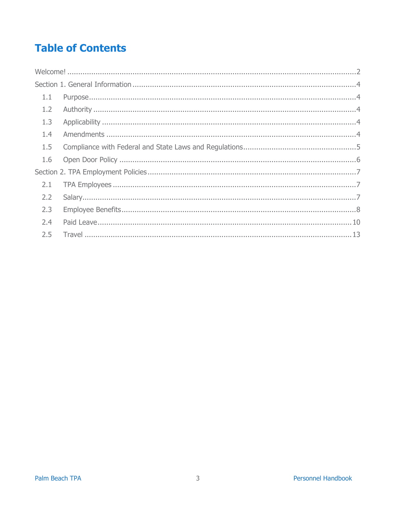### **Table of Contents**

| 1.1 |  |  |
|-----|--|--|
| 1.2 |  |  |
| 1.3 |  |  |
| 1.4 |  |  |
| 1.5 |  |  |
|     |  |  |
|     |  |  |
| 2.1 |  |  |
| 2.2 |  |  |
| 2.3 |  |  |
| 2.4 |  |  |
| 2.5 |  |  |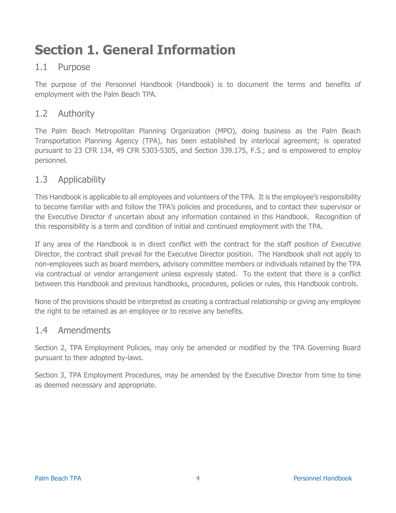## <span id="page-3-0"></span>**Section 1. General Information**

### <span id="page-3-1"></span>1.1 Purpose

The purpose of the Personnel Handbook (Handbook) is to document the terms and benefits of employment with the Palm Beach TPA.

### <span id="page-3-2"></span>1.2 Authority

The Palm Beach Metropolitan Planning Organization (MPO), doing business as the Palm Beach Transportation Planning Agency (TPA), has been established by interlocal agreement; is operated pursuant to 23 CFR 134, 49 CFR 5303-5305, and Section 339.175, F.S.; and is empowered to employ personnel.

### <span id="page-3-3"></span>1.3 Applicability

This Handbook is applicable to all employees and volunteers of the TPA. It is the employee's responsibility to become familiar with and follow the TPA's policies and procedures, and to contact their supervisor or the Executive Director if uncertain about any information contained in this Handbook. Recognition of this responsibility is a term and condition of initial and continued employment with the TPA.

If any area of the Handbook is in direct conflict with the contract for the staff position of Executive Director, the contract shall prevail for the Executive Director position. The Handbook shall not apply to non-employees such as board members, advisory committee members or individuals retained by the TPA via contractual or vendor arrangement unless expressly stated. To the extent that there is a conflict between this Handbook and previous handbooks, procedures, policies or rules, this Handbook controls.

None of the provisions should be interpreted as creating a contractual relationship or giving any employee the right to be retained as an employee or to receive any benefits.

### <span id="page-3-4"></span>1.4 Amendments

Section 2, TPA Employment Policies, may only be amended or modified by the TPA Governing Board pursuant to their adopted by-laws.

Section 3, TPA Employment Procedures, may be amended by the Executive Director from time to time as deemed necessary and appropriate.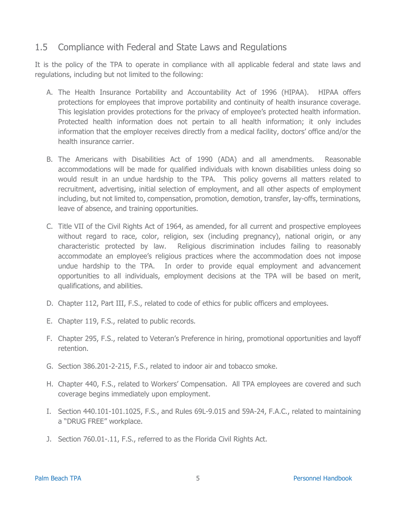### <span id="page-4-0"></span>1.5 Compliance with Federal and State Laws and Regulations

It is the policy of the TPA to operate in compliance with all applicable federal and state laws and regulations, including but not limited to the following:

- A. The Health Insurance Portability and Accountability Act of 1996 (HIPAA). HIPAA offers protections for employees that improve portability and continuity of health insurance coverage. This legislation provides protections for the privacy of employee's protected health information. Protected health information does not pertain to all health information; it only includes information that the employer receives directly from a medical facility, doctors' office and/or the health insurance carrier.
- B. The Americans with Disabilities Act of 1990 (ADA) and all amendments. Reasonable accommodations will be made for qualified individuals with known disabilities unless doing so would result in an undue hardship to the TPA. This policy governs all matters related to recruitment, advertising, initial selection of employment, and all other aspects of employment including, but not limited to, compensation, promotion, demotion, transfer, lay-offs, terminations, leave of absence, and training opportunities.
- C. Title VII of the Civil Rights Act of 1964, as amended, for all current and prospective employees without regard to race, color, religion, sex (including pregnancy), national origin, or any characteristic protected by law. Religious discrimination includes failing to reasonably accommodate an employee's religious practices where the accommodation does not impose undue hardship to the TPA. In order to provide equal employment and advancement opportunities to all individuals, employment decisions at the TPA will be based on merit, qualifications, and abilities.
- D. Chapter 112, Part III, F.S., related to code of ethics for public officers and employees.
- E. Chapter 119, F.S., related to public records.
- F. Chapter 295, F.S., related to Veteran's Preference in hiring, promotional opportunities and layoff retention.
- G. Section 386.201-2-215, F.S., related to indoor air and tobacco smoke.
- H. Chapter 440, F.S., related to Workers' Compensation. All TPA employees are covered and such coverage begins immediately upon employment.
- I. Section 440.101-101.1025, F.S., and Rules 69L-9.015 and 59A-24, F.A.C., related to maintaining a "DRUG FREE" workplace.
- J. Section 760.01-.11, F.S., referred to as the Florida Civil Rights Act.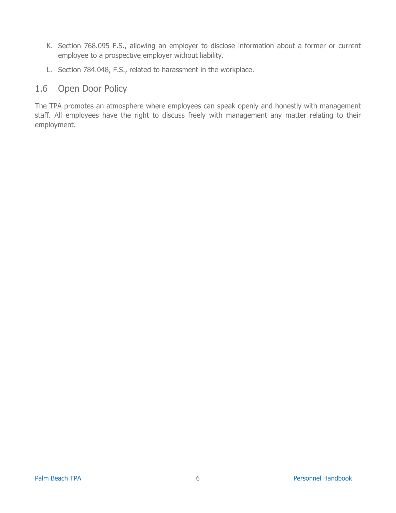- K. Section 768.095 F.S., allowing an employer to disclose information about a former or current employee to a prospective employer without liability.
- L. Section 784.048, F.S., related to harassment in the workplace.

### <span id="page-5-0"></span>1.6 Open Door Policy

The TPA promotes an atmosphere where employees can speak openly and honestly with management staff. All employees have the right to discuss freely with management any matter relating to their employment.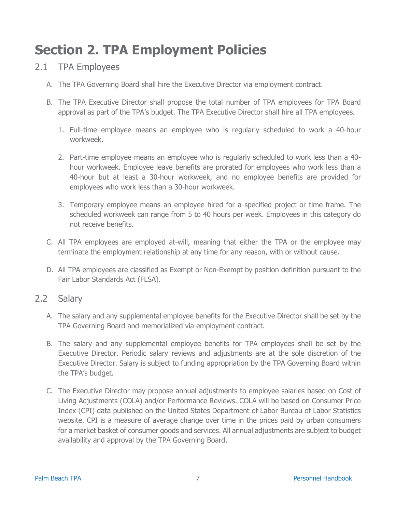### <span id="page-6-0"></span>**Section 2. TPA Employment Policies**

### <span id="page-6-1"></span>2.1 TPA Employees

- A. The TPA Governing Board shall hire the Executive Director via employment contract.
- B. The TPA Executive Director shall propose the total number of TPA employees for TPA Board approval as part of the TPA's budget. The TPA Executive Director shall hire all TPA employees.
	- 1. Full-time employee means an employee who is regularly scheduled to work a 40-hour workweek.
	- 2. Part-time employee means an employee who is regularly scheduled to work less than a 40 hour workweek. Employee leave benefits are prorated for employees who work less than a 40-hour but at least a 30-hour workweek, and no employee benefits are provided for employees who work less than a 30-hour workweek.
	- 3. Temporary employee means an employee hired for a specified project or time frame. The scheduled workweek can range from 5 to 40 hours per week. Employees in this category do not receive benefits.
- C. All TPA employees are employed at-will, meaning that either the TPA or the employee may terminate the employment relationship at any time for any reason, with or without cause.
- D. All TPA employees are classified as Exempt or Non-Exempt by position definition pursuant to the Fair Labor Standards Act (FLSA).

### <span id="page-6-2"></span>2.2 Salary

- A. The salary and any supplemental employee benefits for the Executive Director shall be set by the TPA Governing Board and memorialized via employment contract.
- B. The salary and any supplemental employee benefits for TPA employees shall be set by the Executive Director. Periodic salary reviews and adjustments are at the sole discretion of the Executive Director. Salary is subject to funding appropriation by the TPA Governing Board within the TPA's budget.
- C. The Executive Director may propose annual adjustments to employee salaries based on Cost of Living Adjustments (COLA) and/or Performance Reviews. COLA will be based on Consumer Price Index (CPI) data published on the United States Department of Labor Bureau of Labor Statistics website. CPI is a measure of average change over time in the prices paid by urban consumers for a market basket of consumer goods and services. All annual adjustments are subject to budget availability and approval by the TPA Governing Board.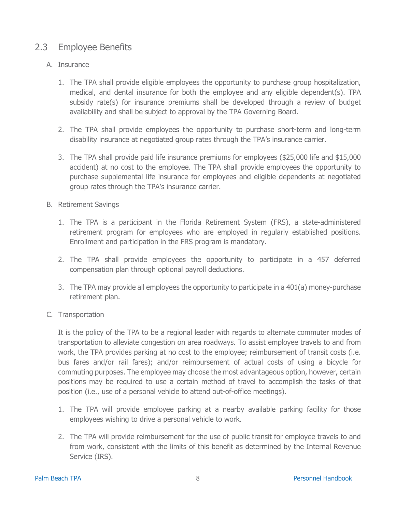### <span id="page-7-0"></span>2.3 Employee Benefits

#### A. Insurance

- 1. The TPA shall provide eligible employees the opportunity to purchase group hospitalization, medical, and dental insurance for both the employee and any eligible dependent(s). TPA subsidy rate(s) for insurance premiums shall be developed through a review of budget availability and shall be subject to approval by the TPA Governing Board.
- 2. The TPA shall provide employees the opportunity to purchase short-term and long-term disability insurance at negotiated group rates through the TPA's insurance carrier.
- 3. The TPA shall provide paid life insurance premiums for employees (\$25,000 life and \$15,000 accident) at no cost to the employee. The TPA shall provide employees the opportunity to purchase supplemental life insurance for employees and eligible dependents at negotiated group rates through the TPA's insurance carrier.
- B. Retirement Savings
	- 1. The TPA is a participant in the Florida Retirement System (FRS), a state-administered retirement program for employees who are employed in regularly established positions. Enrollment and participation in the FRS program is mandatory.
	- 2. The TPA shall provide employees the opportunity to participate in a 457 deferred compensation plan through optional payroll deductions.
	- 3. The TPA may provide all employees the opportunity to participate in a 401(a) money-purchase retirement plan.
- C. Transportation

It is the policy of the TPA to be a regional leader with regards to alternate commuter modes of transportation to alleviate congestion on area roadways. To assist employee travels to and from work, the TPA provides parking at no cost to the employee; reimbursement of transit costs (i.e. bus fares and/or rail fares); and/or reimbursement of actual costs of using a bicycle for commuting purposes. The employee may choose the most advantageous option, however, certain positions may be required to use a certain method of travel to accomplish the tasks of that position (i.e., use of a personal vehicle to attend out-of-office meetings).

- 1. The TPA will provide employee parking at a nearby available parking facility for those employees wishing to drive a personal vehicle to work.
- 2. The TPA will provide reimbursement for the use of public transit for employee travels to and from work, consistent with the limits of this benefit as determined by the Internal Revenue Service (IRS).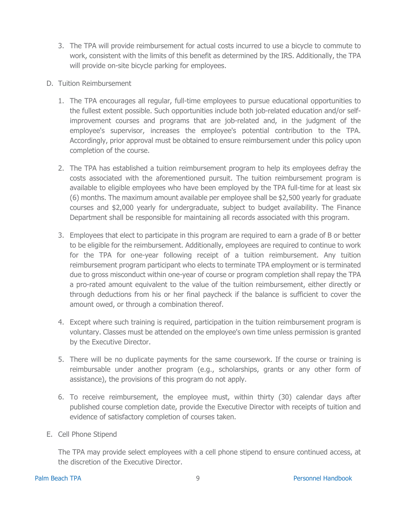- 3. The TPA will provide reimbursement for actual costs incurred to use a bicycle to commute to work, consistent with the limits of this benefit as determined by the IRS. Additionally, the TPA will provide on-site bicycle parking for employees.
- D. Tuition Reimbursement
	- 1. The TPA encourages all regular, full-time employees to pursue educational opportunities to the fullest extent possible. Such opportunities include both job-related education and/or selfimprovement courses and programs that are job-related and, in the judgment of the employee's supervisor, increases the employee's potential contribution to the TPA. Accordingly, prior approval must be obtained to ensure reimbursement under this policy upon completion of the course.
	- 2. The TPA has established a tuition reimbursement program to help its employees defray the costs associated with the aforementioned pursuit. The tuition reimbursement program is available to eligible employees who have been employed by the TPA full-time for at least six (6) months. The maximum amount available per employee shall be \$2,500 yearly for graduate courses and \$2,000 yearly for undergraduate, subject to budget availability. The Finance Department shall be responsible for maintaining all records associated with this program.
	- 3. Employees that elect to participate in this program are required to earn a grade of B or better to be eligible for the reimbursement. Additionally, employees are required to continue to work for the TPA for one-year following receipt of a tuition reimbursement. Any tuition reimbursement program participant who elects to terminate TPA employment or is terminated due to gross misconduct within one-year of course or program completion shall repay the TPA a pro-rated amount equivalent to the value of the tuition reimbursement, either directly or through deductions from his or her final paycheck if the balance is sufficient to cover the amount owed, or through a combination thereof.
	- 4. Except where such training is required, participation in the tuition reimbursement program is voluntary. Classes must be attended on the employee's own time unless permission is granted by the Executive Director.
	- 5. There will be no duplicate payments for the same coursework. If the course or training is reimbursable under another program (e.g., scholarships, grants or any other form of assistance), the provisions of this program do not apply.
	- 6. To receive reimbursement, the employee must, within thirty (30) calendar days after published course completion date, provide the Executive Director with receipts of tuition and evidence of satisfactory completion of courses taken.
- E. Cell Phone Stipend

The TPA may provide select employees with a cell phone stipend to ensure continued access, at the discretion of the Executive Director.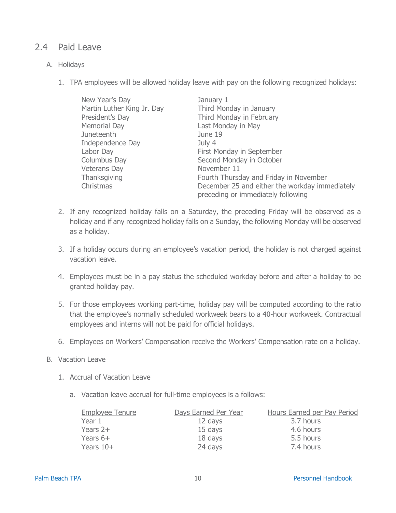### <span id="page-9-0"></span>2.4 Paid Leave

#### A. Holidays

1. TPA employees will be allowed holiday leave with pay on the following recognized holidays:

| New Year's Day             | January 1                                      |
|----------------------------|------------------------------------------------|
| Martin Luther King Jr. Day | Third Monday in January                        |
| President's Day            | Third Monday in February                       |
| Memorial Day               | Last Monday in May                             |
| Juneteenth                 | June 19                                        |
| Independence Day           | July 4                                         |
| Labor Day                  | First Monday in September                      |
| Columbus Day               | Second Monday in October                       |
| Veterans Day               | November 11                                    |
| Thanksgiving               | Fourth Thursday and Friday in November         |
| Christmas                  | December 25 and either the workday immediately |
|                            | preceding or immediately following             |

- 2. If any recognized holiday falls on a Saturday, the preceding Friday will be observed as a holiday and if any recognized holiday falls on a Sunday, the following Monday will be observed as a holiday.
- 3. If a holiday occurs during an employee's vacation period, the holiday is not charged against vacation leave.
- 4. Employees must be in a pay status the scheduled workday before and after a holiday to be granted holiday pay.
- 5. For those employees working part-time, holiday pay will be computed according to the ratio that the employee's normally scheduled workweek bears to a 40-hour workweek. Contractual employees and interns will not be paid for official holidays.
- 6. Employees on Workers' Compensation receive the Workers' Compensation rate on a holiday.
- B. Vacation Leave
	- 1. Accrual of Vacation Leave
		- a. Vacation leave accrual for full-time employees is a follows:

| <b>Employee Tenure</b> | Days Earned Per Year | Hours Earned per Pay Period |
|------------------------|----------------------|-----------------------------|
| Year 1                 | 12 days              | 3.7 hours                   |
| Years $2+$             | 15 days              | 4.6 hours                   |
| Years $6+$             | 18 days              | 5.5 hours                   |
| Years $10+$            | 24 days              | 7.4 hours                   |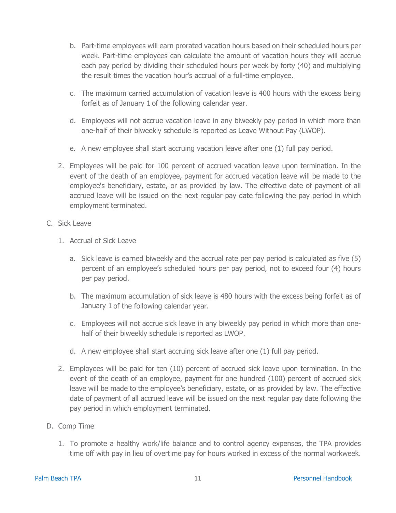- b. Part-time employees will earn prorated vacation hours based on their scheduled hours per week. Part-time employees can calculate the amount of vacation hours they will accrue each pay period by dividing their scheduled hours per week by forty (40) and multiplying the result times the vacation hour's accrual of a full-time employee.
- c. The maximum carried accumulation of vacation leave is 400 hours with the excess being forfeit as of January 1 of the following calendar year.
- d. Employees will not accrue vacation leave in any biweekly pay period in which more than one-half of their biweekly schedule is reported as Leave Without Pay (LWOP).
- e. A new employee shall start accruing vacation leave after one (1) full pay period.
- 2. Employees will be paid for 100 percent of accrued vacation leave upon termination. In the event of the death of an employee, payment for accrued vacation leave will be made to the employee's beneficiary, estate, or as provided by law. The effective date of payment of all accrued leave will be issued on the next regular pay date following the pay period in which employment terminated.
- C. Sick Leave
	- 1. Accrual of Sick Leave
		- a. Sick leave is earned biweekly and the accrual rate per pay period is calculated as five (5) percent of an employee's scheduled hours per pay period, not to exceed four (4) hours per pay period.
		- b. The maximum accumulation of sick leave is 480 hours with the excess being forfeit as of January 1 of the following calendar year.
		- c. Employees will not accrue sick leave in any biweekly pay period in which more than onehalf of their biweekly schedule is reported as LWOP.
		- d. A new employee shall start accruing sick leave after one (1) full pay period.
	- 2. Employees will be paid for ten (10) percent of accrued sick leave upon termination. In the event of the death of an employee, payment for one hundred (100) percent of accrued sick leave will be made to the employee's beneficiary, estate, or as provided by law. The effective date of payment of all accrued leave will be issued on the next regular pay date following the pay period in which employment terminated.
- D. Comp Time
	- 1. To promote a healthy work/life balance and to control agency expenses, the TPA provides time off with pay in lieu of overtime pay for hours worked in excess of the normal workweek.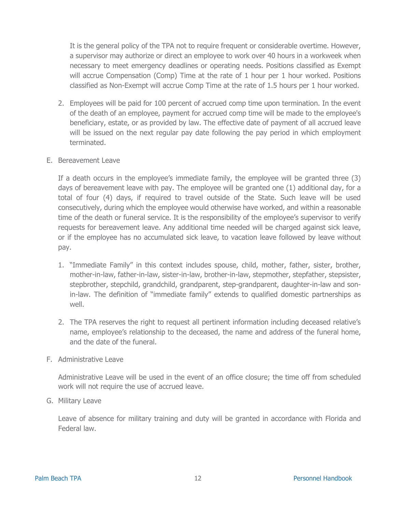It is the general policy of the TPA not to require frequent or considerable overtime. However, a supervisor may authorize or direct an employee to work over 40 hours in a workweek when necessary to meet emergency deadlines or operating needs. Positions classified as Exempt will accrue Compensation (Comp) Time at the rate of 1 hour per 1 hour worked. Positions classified as Non-Exempt will accrue Comp Time at the rate of 1.5 hours per 1 hour worked.

- 2. Employees will be paid for 100 percent of accrued comp time upon termination. In the event of the death of an employee, payment for accrued comp time will be made to the employee's beneficiary, estate, or as provided by law. The effective date of payment of all accrued leave will be issued on the next regular pay date following the pay period in which employment terminated.
- E. Bereavement Leave

If a death occurs in the employee's immediate family, the employee will be granted three (3) days of bereavement leave with pay. The employee will be granted one (1) additional day, for a total of four (4) days, if required to travel outside of the State. Such leave will be used consecutively, during which the employee would otherwise have worked, and within a reasonable time of the death or funeral service. It is the responsibility of the employee's supervisor to verify requests for bereavement leave. Any additional time needed will be charged against sick leave, or if the employee has no accumulated sick leave, to vacation leave followed by leave without pay.

- 1. "Immediate Family" in this context includes spouse, child, mother, father, sister, brother, mother-in-law, father-in-law, sister-in-law, brother-in-law, stepmother, stepfather, stepsister, stepbrother, stepchild, grandchild, grandparent, step-grandparent, daughter-in-law and sonin-law. The definition of "immediate family" extends to qualified domestic partnerships as well.
- 2. The TPA reserves the right to request all pertinent information including deceased relative's name, employee's relationship to the deceased, the name and address of the funeral home, and the date of the funeral.
- F. Administrative Leave

Administrative Leave will be used in the event of an office closure; the time off from scheduled work will not require the use of accrued leave.

G. Military Leave

Leave of absence for military training and duty will be granted in accordance with Florida and Federal law.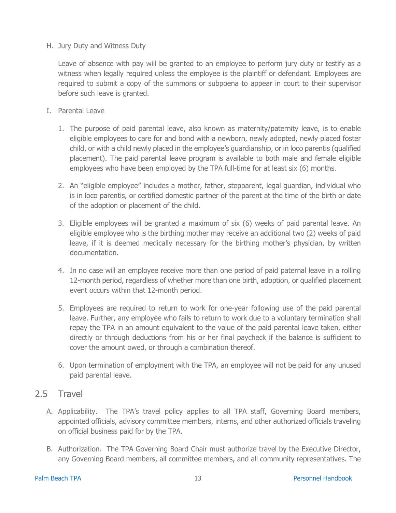H. Jury Duty and Witness Duty

Leave of absence with pay will be granted to an employee to perform jury duty or testify as a witness when legally required unless the employee is the plaintiff or defendant. Employees are required to submit a copy of the summons or subpoena to appear in court to their supervisor before such leave is granted.

- I. Parental Leave
	- 1. The purpose of paid parental leave, also known as maternity/paternity leave, is to enable eligible employees to care for and bond with a newborn, newly adopted, newly placed foster child, or with a child newly placed in the employee's guardianship, or in loco parentis (qualified placement). The paid parental leave program is available to both male and female eligible employees who have been employed by the TPA full-time for at least six (6) months.
	- 2. An "eligible employee" includes a mother, father, stepparent, legal guardian, individual who is in loco parentis, or certified domestic partner of the parent at the time of the birth or date of the adoption or placement of the child.
	- 3. Eligible employees will be granted a maximum of six (6) weeks of paid parental leave. An eligible employee who is the birthing mother may receive an additional two (2) weeks of paid leave, if it is deemed medically necessary for the birthing mother's physician, by written documentation.
	- 4. In no case will an employee receive more than one period of paid paternal leave in a rolling 12-month period, regardless of whether more than one birth, adoption, or qualified placement event occurs within that 12-month period.
	- 5. Employees are required to return to work for one-year following use of the paid parental leave. Further, any employee who fails to return to work due to a voluntary termination shall repay the TPA in an amount equivalent to the value of the paid parental leave taken, either directly or through deductions from his or her final paycheck if the balance is sufficient to cover the amount owed, or through a combination thereof.
	- 6. Upon termination of employment with the TPA, an employee will not be paid for any unused paid parental leave.

### <span id="page-12-0"></span>2.5 Travel

- A. Applicability. The TPA's travel policy applies to all TPA staff, Governing Board members, appointed officials, advisory committee members, interns, and other authorized officials traveling on official business paid for by the TPA.
- B. Authorization. The TPA Governing Board Chair must authorize travel by the Executive Director, any Governing Board members, all committee members, and all community representatives. The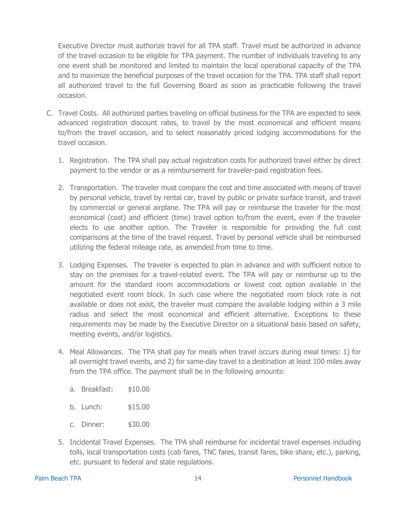Executive Director must authorize travel for all TPA staff. Travel must be authorized in advance of the travel occasion to be eligible for TPA payment. The number of individuals traveling to any one event shall be monitored and limited to maintain the local operational capacity of the TPA and to maximize the beneficial purposes of the travel occasion for the TPA. TPA staff shall report all authorized travel to the full Governing Board as soon as practicable following the travel occasion.

- C. Travel Costs. All authorized parties traveling on official business for the TPA are expected to seek advanced registration discount rates, to travel by the most economical and efficient means to/from the travel occasion, and to select reasonably priced lodging accommodations for the travel occasion.
	- 1. Registration. The TPA shall pay actual registration costs for authorized travel either by direct payment to the vendor or as a reimbursement for traveler-paid registration fees.
	- 2. Transportation. The traveler must compare the cost and time associated with means of travel by personal vehicle, travel by rental car, travel by public or private surface transit, and travel by commercial or general airplane. The TPA will pay or reimburse the traveler for the most economical (cost) and efficient (time) travel option to/from the event, even if the traveler elects to use another option. The Traveler is responsible for providing the full cost comparisons at the time of the travel request. Travel by personal vehicle shall be reimbursed utilizing the federal mileage rate, as amended from time to time.
	- 3. Lodging Expenses. The traveler is expected to plan in advance and with sufficient notice to stay on the premises for a travel-related event. The TPA will pay or reimburse up to the amount for the standard room accommodations or lowest cost option available in the negotiated event room block. In such case where the negotiated room block rate is not available or does not exist, the traveler must compare the available lodging within a 3 mile radius and select the most economical and efficient alternative. Exceptions to these requirements may be made by the Executive Director on a situational basis based on safety, meeting events, and/or logistics.
	- 4. Meal Allowances. The TPA shall pay for meals when travel occurs during meal times: 1) for all overnight travel events, and 2) for same-day travel to a destination at least 100 miles away from the TPA office. The payment shall be in the following amounts:
		- a. Breakfast: \$10.00
		- b. Lunch: \$15.00
		- c. Dinner: \$30.00
	- 5. Incidental Travel Expenses. The TPA shall reimburse for incidental travel expenses including tolls, local transportation costs (cab fares, TNC fares, transit fares, bike share, etc.), parking, etc. pursuant to federal and state regulations.